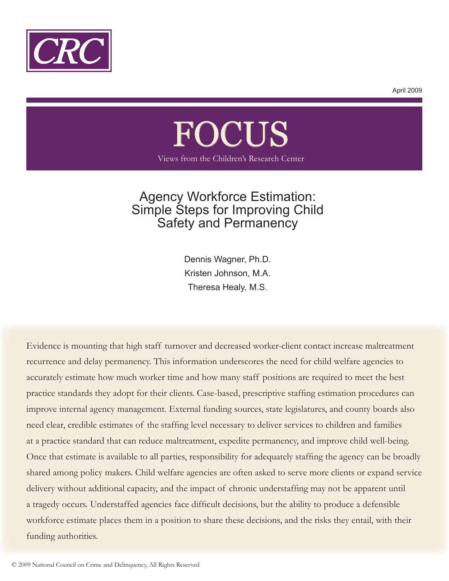

April 2009

# FOCUS Views from the Children's Research Center

# Agency Workforce Estimation: Simple Steps for Improving Child Safety and Permanency

Dennis Wagner, Ph.D. Kristen Johnson, M.A. Theresa Healy, M.S.

 Evidence is mounting that high staff turnover and decreased worker-client contact increase maltreatment recurrence and delay permanency. This information underscores the need for child welfare agencies to accurately estimate how much worker time and how many staff positions are required to meet the best practice standards they adopt for their clients. Case-based, prescriptive staffing estimation procedures can improve internal agency management. External funding sources, state legislatures, and county boards also need clear, credible estimates of the staffing level necessary to deliver services to children and families at a practice standard that can reduce maltreatment, expedite permanency, and improve child well-being. Once that estimate is available to all parties, responsibility for adequately staffing the agency can be broadly shared among policy makers. Child welfare agencies are often asked to serve more clients or expand service delivery without additional capacity, and the impact of chronic understaffing may not be apparent until a tragedy occurs. Understaffed agencies face difficult decisions, but the ability to produce a defensible workforce estimate places them in a position to share these decisions, and the risks they entail, with their funding authorities.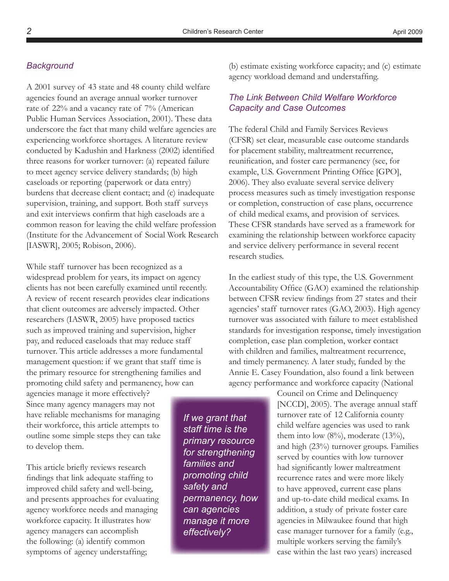#### *Background*

A 2001 survey of 43 state and 48 county child welfare agencies found an average annual worker turnover rate of 22% and a vacancy rate of 7% (American Public Human Services Association, 2001). These data underscore the fact that many child welfare agencies are experiencing workforce shortages. A literature review conducted by Kadushin and Harkness (2002) identified three reasons for worker turnover: (a) repeated failure to meet agency service delivery standards; (b) high caseloads or reporting (paperwork or data entry) burdens that decrease client contact; and (c) inadequate supervision, training, and support. Both staff surveys and exit interviews confirm that high caseloads are a common reason for leaving the child welfare profession (Institute for the Advancement of Social Work Research [IASWR], 2005; Robison, 2006).

While staff turnover has been recognized as a widespread problem for years, its impact on agency clients has not been carefully examined until recently. A review of recent research provides clear indications that client outcomes are adversely impacted. Other researchers (IASWR, 2005) have proposed tactics such as improved training and supervision, higher pay, and reduced caseloads that may reduce staff turnover. This article addresses a more fundamental management question: if we grant that staff time is the primary resource for strengthening families and promoting child safety and permanency, how can

agencies manage it more effectively? Since many agency managers may not have reliable mechanisms for managing their workforce, this article attempts to outline some simple steps they can take to develop them.

This article briefly reviews research findings that link adequate staffing to improved child safety and well-being, and presents approaches for evaluating agency workforce needs and managing workforce capacity. It illustrates how agency managers can accomplish the following: (a) identify common symptoms of agency understaffing;

*If we grant that staff time is the primary resource for strengthening families and promoting child safety and permanency, how can agencies manage it more effectively?*

(b) estimate existing workforce capacity; and (c) estimate agency workload demand and understaffing.

# *The Link Between Child Welfare Workforce Capacity and Case Outcomes*

The federal Child and Family Services Reviews (CFSR) set clear, measurable case outcome standards for placement stability, maltreatment recurrence, reunification, and foster care permanency (see, for example, U.S. Government Printing Office [GPO], 2006). They also evaluate several service delivery process measures such as timely investigation response or completion, construction of case plans, occurrence of child medical exams, and provision of services. These CFSR standards have served as a framework for examining the relationship between workforce capacity and service delivery performance in several recent research studies.

In the earliest study of this type, the U.S. Government Accountability Office (GAO) examined the relationship between CFSR review findings from 27 states and their agencies' staff turnover rates (GAO, 2003). High agency turnover was associated with failure to meet established standards for investigation response, timely investigation completion, case plan completion, worker contact with children and families, maltreatment recurrence, and timely permanency. A later study, funded by the Annie E. Casey Foundation, also found a link between agency performance and workforce capacity (National

> Council on Crime and Delinquency [NCCD], 2005). The average annual staff turnover rate of 12 California county child welfare agencies was used to rank them into low  $(8\%)$ , moderate  $(13\%)$ , and high (23%) turnover groups. Families served by counties with low turnover had significantly lower maltreatment recurrence rates and were more likely to have approved, current case plans and up-to-date child medical exams. In addition, a study of private foster care agencies in Milwaukee found that high case manager turnover for a family (e.g., multiple workers serving the family's case within the last two years) increased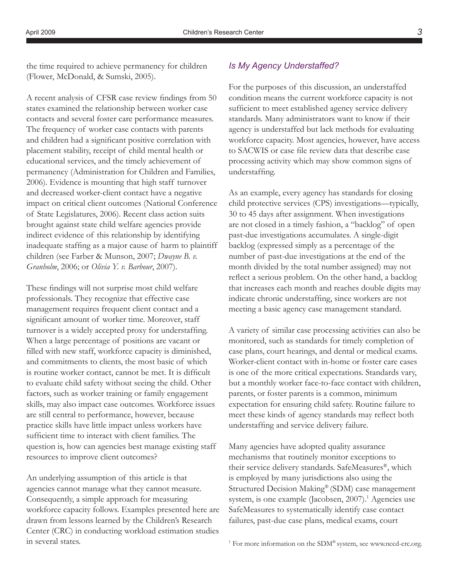the time required to achieve permanency for children (Flower, McDonald, & Sumski, 2005).

A recent analysis of CFSR case review findings from 50 states examined the relationship between worker case contacts and several foster care performance measures. The frequency of worker case contacts with parents and children had a significant positive correlation with placement stability, receipt of child mental health or educational services, and the timely achievement of permanency (Administration for Children and Families, 2006). Evidence is mounting that high staff turnover and decreased worker-client contact have a negative impact on critical client outcomes (National Conference of State Legislatures, 2006). Recent class action suits brought against state child welfare agencies provide indirect evidence of this relationship by identifying inadequate staffing as a major cause of harm to plaintiff children (see Farber & Munson, 2007; *Dwayne B. v. Granholm*, 2006; or *Olivia Y. v. Barbour*, 2007).

These findings will not surprise most child welfare professionals. They recognize that effective case management requires frequent client contact and a significant amount of worker time. Moreover, staff turnover is a widely accepted proxy for understaffing. When a large percentage of positions are vacant or filled with new staff, workforce capacity is diminished, and commitments to clients, the most basic of which is routine worker contact, cannot be met. It is difficult to evaluate child safety without seeing the child. Other factors, such as worker training or family engagement skills, may also impact case outcomes. Workforce issues are still central to performance, however, because practice skills have little impact unless workers have sufficient time to interact with client families. The question is, how can agencies best manage existing staff resources to improve client outcomes?

An underlying assumption of this article is that agencies cannot manage what they cannot measure. Consequently, a simple approach for measuring workforce capacity follows. Examples presented here are drawn from lessons learned by the Children's Research Center (CRC) in conducting workload estimation studies in several states.

# *Is My Agency Understaffed?*

For the purposes of this discussion, an understaffed condition means the current workforce capacity is not sufficient to meet established agency service delivery standards. Many administrators want to know if their agency is understaffed but lack methods for evaluating workforce capacity. Most agencies, however, have access to SACWIS or case file review data that describe case processing activity which may show common signs of understaffing.

As an example, every agency has standards for closing child protective services (CPS) investigations—typically, 30 to 45 days after assignment. When investigations are not closed in a timely fashion, a "backlog" of open past-due investigations accumulates. A single-digit backlog (expressed simply as a percentage of the number of past-due investigations at the end of the month divided by the total number assigned) may not reflect a serious problem. On the other hand, a backlog that increases each month and reaches double digits may indicate chronic understaffing, since workers are not meeting a basic agency case management standard.

A variety of similar case processing activities can also be monitored, such as standards for timely completion of case plans, court hearings, and dental or medical exams. Worker-client contact with in-home or foster care cases is one of the more critical expectations. Standards vary, but a monthly worker face-to-face contact with children, parents, or foster parents is a common, minimum expectation for ensuring child safety. Routine failure to meet these kinds of agency standards may reflect both understaffing and service delivery failure.

Many agencies have adopted quality assurance mechanisms that routinely monitor exceptions to their service delivery standards. SafeMeasures®, which is employed by many jurisdictions also using the Structured Decision Making® (SDM) case management system, is one example (Jacobsen, 2007).<sup>1</sup> Agencies use SafeMeasures to systematically identify case contact failures, past-due case plans, medical exams, court

<sup>&</sup>lt;sup>1</sup> For more information on the SDM® system, see www.nccd-crc.org.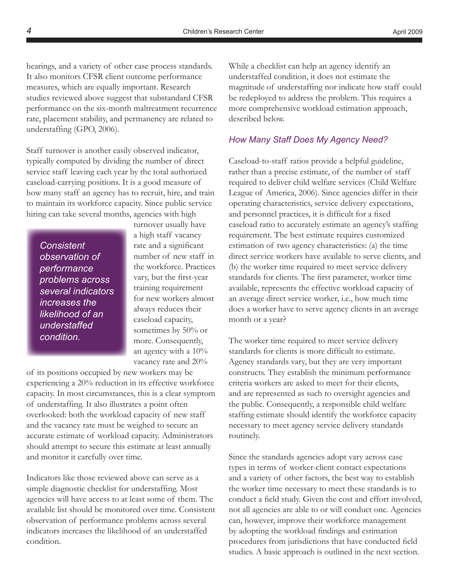hearings, and a variety of other case process standards. It also monitors CFSR client outcome performance measures, which are equally important. Research studies reviewed above suggest that substandard CFSR performance on the six-month maltreatment recurrence rate, placement stability, and permanency are related to understaffing (GPO, 2006).

Staff turnover is another easily observed indicator, typically computed by dividing the number of direct service staff leaving each year by the total authorized caseload-carrying positions. It is a good measure of how many staff an agency has to recruit, hire, and train to maintain its workforce capacity. Since public service hiring can take several months, agencies with high

*Consistent observation of performance problems across several indicators increases the likelihood of an understaffed condition.*

turnover usually have a high staff vacancy rate and a significant number of new staff in the workforce. Practices vary, but the first-year training requirement for new workers almost always reduces their caseload capacity, sometimes by 50% or more. Consequently, an agency with a 10% vacancy rate and 20%

of its positions occupied by new workers may be experiencing a 20% reduction in its effective workforce capacity. In most circumstances, this is a clear symptom of understaffing. It also illustrates a point often overlooked: both the workload capacity of new staff and the vacancy rate must be weighed to secure an accurate estimate of workload capacity. Administrators should attempt to secure this estimate at least annually and monitor it carefully over time.

Indicators like those reviewed above can serve as a simple diagnostic checklist for understaffing. Most agencies will have access to at least some of them. The available list should be monitored over time. Consistent observation of performance problems across several indicators increases the likelihood of an understaffed condition.

While a checklist can help an agency identify an understaffed condition, it does not estimate the magnitude of understaffing nor indicate how staff could be redeployed to address the problem. This requires a more comprehensive workload estimation approach, described below.

#### *How Many Staff Does My Agency Need?*

Caseload-to-staff ratios provide a helpful guideline, rather than a precise estimate, of the number of staff required to deliver child welfare services (Child Welfare League of America, 2006). Since agencies differ in their operating characteristics, service delivery expectations, and personnel practices, it is difficult for a fixed caseload ratio to accurately estimate an agency's staffing requirement. The best estimate requires customized estimation of two agency characteristics: (a) the time direct service workers have available to serve clients, and (b) the worker time required to meet service delivery standards for clients. The first parameter, worker time available, represents the effective workload capacity of an average direct service worker, i.e., how much time does a worker have to serve agency clients in an average month or a year?

The worker time required to meet service delivery standards for clients is more difficult to estimate. Agency standards vary, but they are very important constructs. They establish the minimum performance criteria workers are asked to meet for their clients, and are represented as such to oversight agencies and the public. Consequently, a responsible child welfare staffing estimate should identify the workforce capacity necessary to meet agency service delivery standards routinely.

Since the standards agencies adopt vary across case types in terms of worker-client contact expectations and a variety of other factors, the best way to establish the worker time necessary to meet these standards is to conduct a field study. Given the cost and effort involved, not all agencies are able to or will conduct one. Agencies can, however, improve their workforce management by adopting the workload findings and estimation procedures from jurisdictions that have conducted field studies. A basic approach is outlined in the next section.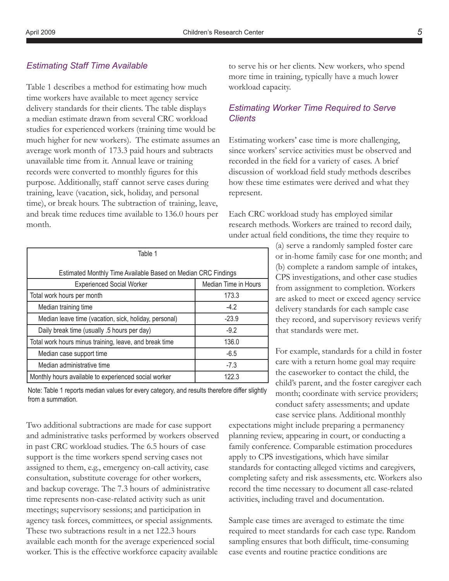#### *Estimating Staff Time Available*

Table 1 describes a method for estimating how much time workers have available to meet agency service delivery standards for their clients. The table displays a median estimate drawn from several CRC workload studies for experienced workers (training time would be much higher for new workers). The estimate assumes an average work month of 173.3 paid hours and subtracts unavailable time from it. Annual leave or training records were converted to monthly figures for this purpose. Additionally, staff cannot serve cases during training, leave (vacation, sick, holiday, and personal time), or break hours. The subtraction of training, leave, and break time reduces time available to 136.0 hours per month.

| Table 1                                                       |                      |  |  |  |
|---------------------------------------------------------------|----------------------|--|--|--|
| Estimated Monthly Time Available Based on Median CRC Findings |                      |  |  |  |
| <b>Experienced Social Worker</b>                              | Median Time in Hours |  |  |  |
| Total work hours per month                                    | 173.3                |  |  |  |
| Median training time                                          | $-4.2$               |  |  |  |
| Median leave time (vacation, sick, holiday, personal)         | $-23.9$              |  |  |  |
| Daily break time (usually .5 hours per day)                   | $-9.2$               |  |  |  |
| Total work hours minus training, leave, and break time        | 136.0                |  |  |  |
| Median case support time                                      | $-6.5$               |  |  |  |
| Median administrative time                                    | $-7.3$               |  |  |  |
| Monthly hours available to experienced social worker          | 122.3                |  |  |  |

Note: Table 1 reports median values for every category, and results therefore differ slightly from a summation.

Two additional subtractions are made for case support and administrative tasks performed by workers observed in past CRC workload studies. The 6.5 hours of case support is the time workers spend serving cases not assigned to them, e.g., emergency on-call activity, case consultation, substitute coverage for other workers, and backup coverage. The 7.3 hours of administrative time represents non-case-related activity such as unit meetings; supervisory sessions; and participation in agency task forces, committees, or special assignments. These two subtractions result in a net 122.3 hours available each month for the average experienced social worker. This is the effective workforce capacity available

to serve his or her clients. New workers, who spend more time in training, typically have a much lower workload capacity.

# *Estimating Worker Time Required to Serve Clients*

Estimating workers' case time is more challenging, since workers' service activities must be observed and recorded in the field for a variety of cases. A brief discussion of workload field study methods describes how these time estimates were derived and what they represent.

Each CRC workload study has employed similar research methods. Workers are trained to record daily, under actual field conditions, the time they require to

> (a) serve a randomly sampled foster care or in-home family case for one month; and (b) complete a random sample of intakes, CPS investigations, and other case studies from assignment to completion. Workers are asked to meet or exceed agency service delivery standards for each sample case they record, and supervisory reviews verify that standards were met.

> For example, standards for a child in foster care with a return home goal may require the caseworker to contact the child, the child's parent, and the foster caregiver each month; coordinate with service providers; conduct safety assessments; and update case service plans. Additional monthly

expectations might include preparing a permanency planning review, appearing in court, or conducting a family conference. Comparable estimation procedures apply to CPS investigations, which have similar standards for contacting alleged victims and caregivers, completing safety and risk assessments, etc. Workers also record the time necessary to document all case-related activities, including travel and documentation.

Sample case times are averaged to estimate the time required to meet standards for each case type. Random sampling ensures that both difficult, time-consuming case events and routine practice conditions are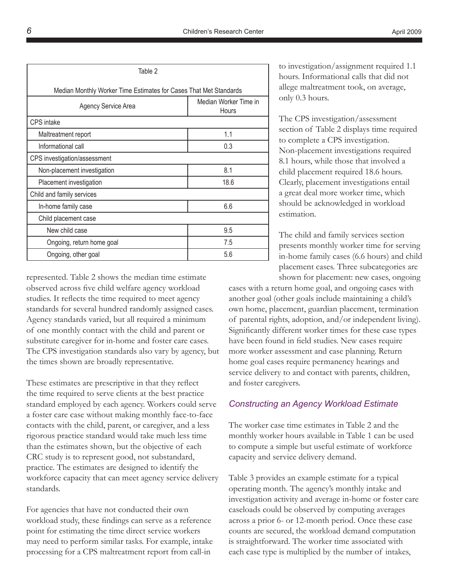| Table 2                                                           |                                       |  |  |
|-------------------------------------------------------------------|---------------------------------------|--|--|
| Median Monthly Worker Time Estimates for Cases That Met Standards |                                       |  |  |
| Agency Service Area                                               | Median Worker Time in<br><b>Hours</b> |  |  |
| <b>CPS</b> intake                                                 |                                       |  |  |
| Maltreatment report                                               | 1.1                                   |  |  |
| Informational call                                                | 0.3                                   |  |  |
| CPS investigation/assessment                                      |                                       |  |  |
| Non-placement investigation                                       | 8.1                                   |  |  |
| Placement investigation                                           | 18.6                                  |  |  |
| Child and family services                                         |                                       |  |  |
| In-home family case                                               | 6.6                                   |  |  |
| Child placement case                                              |                                       |  |  |
| New child case                                                    | 9.5                                   |  |  |
| Ongoing, return home goal                                         | 7.5                                   |  |  |
| Ongoing, other goal                                               | 5.6                                   |  |  |

represented. Table 2 shows the median time estimate observed across five child welfare agency workload studies. It reflects the time required to meet agency standards for several hundred randomly assigned cases. Agency standards varied, but all required a minimum of one monthly contact with the child and parent or substitute caregiver for in-home and foster care cases. The CPS investigation standards also vary by agency, but the times shown are broadly representative.

These estimates are prescriptive in that they reflect the time required to serve clients at the best practice standard employed by each agency. Workers could serve a foster care case without making monthly face-to-face contacts with the child, parent, or caregiver, and a less rigorous practice standard would take much less time than the estimates shown, but the objective of each CRC study is to represent good, not substandard, practice. The estimates are designed to identify the workforce capacity that can meet agency service delivery standards.

For agencies that have not conducted their own workload study, these findings can serve as a reference point for estimating the time direct service workers may need to perform similar tasks. For example, intake processing for a CPS maltreatment report from call-in

to investigation/assignment required 1.1 hours. Informational calls that did not allege maltreatment took, on average, only 0.3 hours.

The CPS investigation/assessment section of Table 2 displays time required to complete a CPS investigation. Non-placement investigations required 8.1 hours, while those that involved a child placement required 18.6 hours. Clearly, placement investigations entail a great deal more worker time, which should be acknowledged in workload estimation.

The child and family services section presents monthly worker time for serving in-home family cases (6.6 hours) and child placement cases. Three subcategories are shown for placement: new cases, ongoing

cases with a return home goal, and ongoing cases with another goal (other goals include maintaining a child's own home, placement, guardian placement, termination of parental rights, adoption, and/or independent living). Significantly different worker times for these case types have been found in field studies. New cases require more worker assessment and case planning. Return home goal cases require permanency hearings and service delivery to and contact with parents, children, and foster caregivers.

# *Constructing an Agency Workload Estimate*

The worker case time estimates in Table 2 and the monthly worker hours available in Table 1 can be used to compute a simple but useful estimate of workforce capacity and service delivery demand.

Table 3 provides an example estimate for a typical operating month. The agency's monthly intake and investigation activity and average in-home or foster care caseloads could be observed by computing averages across a prior 6- or 12-month period. Once these case counts are secured, the workload demand computation is straightforward. The worker time associated with each case type is multiplied by the number of intakes,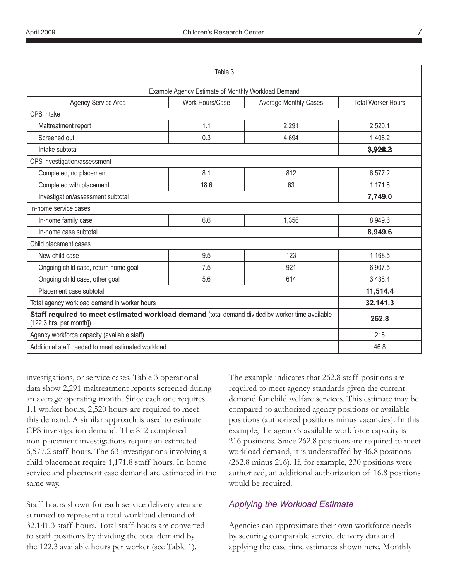|                                                                                                                            | Table 3                                            |                              |                           |
|----------------------------------------------------------------------------------------------------------------------------|----------------------------------------------------|------------------------------|---------------------------|
|                                                                                                                            | Example Agency Estimate of Monthly Workload Demand |                              |                           |
| Agency Service Area                                                                                                        | Work Hours/Case                                    | <b>Average Monthly Cases</b> | <b>Total Worker Hours</b> |
| <b>CPS</b> intake                                                                                                          |                                                    |                              |                           |
| Maltreatment report                                                                                                        | 1.1                                                | 2,291                        | 2,520.1                   |
| Screened out                                                                                                               | 0.3                                                | 4,694                        | 1,408.2                   |
| Intake subtotal                                                                                                            |                                                    |                              | 3,928.3                   |
| CPS investigation/assessment                                                                                               |                                                    |                              |                           |
| Completed, no placement                                                                                                    | 8.1                                                | 812                          | 6,577.2                   |
| Completed with placement                                                                                                   | 18.6                                               | 63                           | 1,171.8                   |
| Investigation/assessment subtotal                                                                                          |                                                    |                              | 7,749.0                   |
| In-home service cases                                                                                                      |                                                    |                              |                           |
| In-home family case                                                                                                        | 6.6                                                | 1,356                        | 8,949.6                   |
| In-home case subtotal                                                                                                      |                                                    |                              | 8,949.6                   |
| Child placement cases                                                                                                      |                                                    |                              |                           |
| New child case                                                                                                             | 9.5                                                | 123                          | 1,168.5                   |
| Ongoing child case, return home goal                                                                                       | 7.5                                                | 921                          | 6,907.5                   |
| Ongoing child case, other goal                                                                                             | 5.6                                                | 614                          | 3,438.4                   |
| Placement case subtotal                                                                                                    |                                                    |                              | 11,514.4                  |
| Total agency workload demand in worker hours                                                                               |                                                    | 32,141.3                     |                           |
| Staff required to meet estimated workload demand (total demand divided by worker time available<br>[122.3 hrs. per month]) |                                                    |                              | 262.8                     |
| Agency workforce capacity (available staff)                                                                                |                                                    | 216                          |                           |
| Additional staff needed to meet estimated workload                                                                         |                                                    | 46.8                         |                           |

investigations, or service cases. Table 3 operational data show 2,291 maltreatment reports screened during an average operating month. Since each one requires 1.1 worker hours, 2,520 hours are required to meet this demand. A similar approach is used to estimate CPS investigation demand. The 812 completed non-placement investigations require an estimated 6,577.2 staff hours. The 63 investigations involving a child placement require 1,171.8 staff hours. In-home service and placement case demand are estimated in the same way.

Staff hours shown for each service delivery area are summed to represent a total workload demand of 32,141.3 staff hours. Total staff hours are converted to staff positions by dividing the total demand by the 122.3 available hours per worker (see Table 1).

The example indicates that 262.8 staff positions are required to meet agency standards given the current demand for child welfare services. This estimate may be compared to authorized agency positions or available positions (authorized positions minus vacancies). In this example, the agency's available workforce capacity is 216 positions. Since 262.8 positions are required to meet workload demand, it is understaffed by 46.8 positions (262.8 minus 216). If, for example, 230 positions were authorized, an additional authorization of 16.8 positions would be required.

# *Applying the Workload Estimate*

Agencies can approximate their own workforce needs by securing comparable service delivery data and applying the case time estimates shown here. Monthly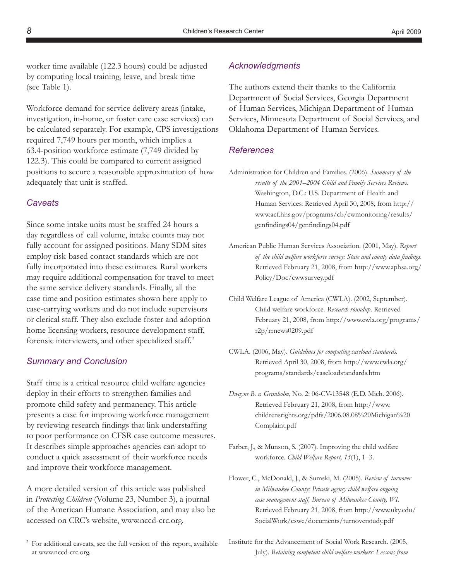worker time available (122.3 hours) could be adjusted by computing local training, leave, and break time (see Table 1).

Workforce demand for service delivery areas (intake, investigation, in-home, or foster care case services) can be calculated separately. For example, CPS investigations required 7,749 hours per month, which implies a 63.4-position workforce estimate (7,749 divided by 122.3). This could be compared to current assigned positions to secure a reasonable approximation of how adequately that unit is staffed.

#### *Caveats*

Since some intake units must be staffed 24 hours a day regardless of call volume, intake counts may not fully account for assigned positions. Many SDM sites employ risk-based contact standards which are not fully incorporated into these estimates. Rural workers may require additional compensation for travel to meet the same service delivery standards. Finally, all the case time and position estimates shown here apply to case-carrying workers and do not include supervisors or clerical staff. They also exclude foster and adoption home licensing workers, resource development staff, forensic interviewers, and other specialized staff.<sup>2</sup>

### *Summary and Conclusion*

Staff time is a critical resource child welfare agencies deploy in their efforts to strengthen families and promote child safety and permanency. This article presents a case for improving workforce management by reviewing research findings that link understaffing to poor performance on CFSR case outcome measures. It describes simple approaches agencies can adopt to conduct a quick assessment of their workforce needs and improve their workforce management.

A more detailed version of this article was published in *Protecting Children* (Volume 23, Number 3), a journal of the American Humane Association, and may also be accessed on CRC's website, www.nccd-crc.org.

# *Acknowledgments*

The authors extend their thanks to the California Department of Social Services, Georgia Department of Human Services, Michigan Department of Human Services, Minnesota Department of Social Services, and Oklahoma Department of Human Services.

#### *References*

- Administration for Children and Families. (2006). *Summary of the results of the 2001–2004 Child and Family Services Reviews*. Washington, D.C.: U.S. Department of Health and Human Services. Retrieved April 30, 2008, from http:// www.acf.hhs.gov/programs/cb/cwmonitoring/results/ genfindings04/genfindings04.pdf
- American Public Human Services Association. (2001, May). *Report of the child welfare workforce survey: State and county data findings.* Retrieved February 21, 2008, from http://www.aphsa.org/ Policy/Doc/cwwsurvey.pdf
- Child Welfare League of America (CWLA). (2002, September). Child welfare workforce*. Research roundup*. Retrieved February 21, 2008, from http://www.cwla.org/programs/ r2p/rrnews0209.pdf
- CWLA. (2006, May). *Guidelines for computing caseload standards.* Retrieved April 30, 2008, from http://www.cwla.org/ programs/standards/caseloadstandards.htm
- *Dwayne B. v. Granholm*, No. 2: 06-CV-13548 (E.D. Mich. 2006). Retrieved February 21, 2008, from http://www. childrensrights.org/pdfs/2006.08.08%20Michigan%20 Complaint.pdf
- Farber, J., & Munson, S. (2007). Improving the child welfare workforce. *Child Welfare Report, 15*(1), 1–3.
- Flower, C., McDonald, J., & Sumski, M. (2005). *Review of turnover in Milwaukee County: Private agency child welfare ongoing case management staff, Bureau of Milwaukee County, WI.* Retrieved February 21, 2008, from http://www.uky.edu/ SocialWork/cswe/documents/turnoverstudy.pdf

<sup>2</sup> For additional caveats, see the full version of this report, available at www.nccd-crc.org.

Institute for the Advancement of Social Work Research. (2005, July). *Retaining competent child welfare workers: Lessons from*